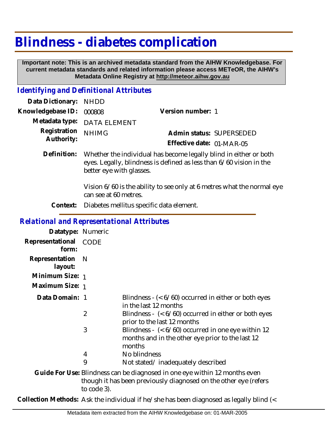# **Blindness - diabetes complication**

 **Important note: This is an archived metadata standard from the AIHW Knowledgebase. For current metadata standards and related information please access METeOR, the AIHW's Metadata Online Registry at http://meteor.aihw.gov.au**

## *Identifying and Definitional Attributes*

| Data Dictionary: NHDD            |                             |                           |  |
|----------------------------------|-----------------------------|---------------------------|--|
| Knowledgebase ID: 000808         |                             | Version number: 1         |  |
|                                  | Metadata type: DATA ELEMENT |                           |  |
| Registration NHIMG<br>Authority: |                             | Admin status: SUPERSEDED  |  |
|                                  |                             | Effective date: 01-MAR-05 |  |
|                                  |                             |                           |  |

Definition: Whether the individual has become legally blind in either or both eyes. Legally, blindness is defined as less than 6/60 vision in the better eye with glasses.

> Vision 6/60 is the ability to see only at 6 metres what the normal eye can see at 60 metres.

**Context:** Diabetes mellitus specific data element.

#### *Relational and Representational Attributes*

| Datatype: Numeric              |                |                                                                                                                                                                               |
|--------------------------------|----------------|-------------------------------------------------------------------------------------------------------------------------------------------------------------------------------|
| Representational CODE<br>form: |                |                                                                                                                                                                               |
| Representation N<br>layout:    |                |                                                                                                                                                                               |
| Minimum Size: 1                |                |                                                                                                                                                                               |
| Maximum Size: 1                |                |                                                                                                                                                                               |
| Data Domain: 1                 |                | Blindness $-$ ( $<$ 6/60) occurred in either or both eyes<br>in the last 12 months                                                                                            |
|                                | $\overline{2}$ | Blindness - $($ < $6/60)$ occurred in either or both eyes<br>prior to the last 12 months                                                                                      |
|                                | 3              | Blindness - $(6/60) occurred in one eye within 12$<br>months and in the other eye prior to the last 12<br>months                                                              |
|                                | 4              | No blindness                                                                                                                                                                  |
|                                | 9              | Not stated/inadequately described                                                                                                                                             |
|                                |                | Guide For Use: Blindness can be diagnosed in one eye within 12 months even<br>ومكانيه المستحقق والمستحلف والمستحقق والمستحدث والمستحدث والمستحدث والقارية والمستحدث والمستحدث |

though it has been previously diagnosed on the other eye (refers to code 3).

**Collection Methods:** Ask the individual if he/she has been diagnosed as legally blind (<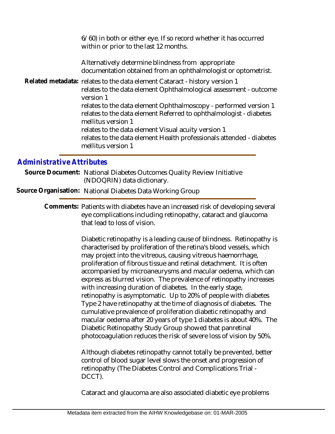6/60) in both or either eye. If so record whether it has occurred within or prior to the last 12 months.

Alternatively determine blindness from appropriate documentation obtained from an ophthalmologist or optometrist.

Related metadata: relates to the data element Cataract - history version 1 relates to the data element Ophthalmological assessment - outcome version 1 relates to the data element Ophthalmoscopy - performed version 1 relates to the data element Referred to ophthalmologist - diabetes mellitus version 1 relates to the data element Visual acuity version 1 relates to the data element Health professionals attended - diabetes mellitus version 1

### *Administrative Attributes*

Source Document: National Diabetes Outcomes Quality Review Initiative (NDOQRIN) data dictionary.

**Source Organisation:** National Diabetes Data Working Group

Comments: Patients with diabetes have an increased risk of developing several eye complications including retinopathy, cataract and glaucoma that lead to loss of vision.

> Diabetic retinopathy is a leading cause of blindness. Retinopathy is characterised by proliferation of the retina's blood vessels, which may project into the vitreous, causing vitreous haemorrhage, proliferation of fibrous tissue and retinal detachment. It is often accompanied by microaneurysms and macular oedema, which can express as blurred vision. The prevalence of retinopathy increases with increasing duration of diabetes. In the early stage, retinopathy is asymptomatic. Up to 20% of people with diabetes Type 2 have retinopathy at the time of diagnosis of diabetes. The cumulative prevalence of proliferation diabetic retinopathy and macular oedema after 20 years of type 1 diabetes is about 40%. The Diabetic Retinopathy Study Group showed that panretinal photocoagulation reduces the risk of severe loss of vision by 50%.

Although diabetes retinopathy cannot totally be prevented, better control of blood sugar level slows the onset and progression of retinopathy (The Diabetes Control and Complications Trial - DCCT).

Cataract and glaucoma are also associated diabetic eye problems